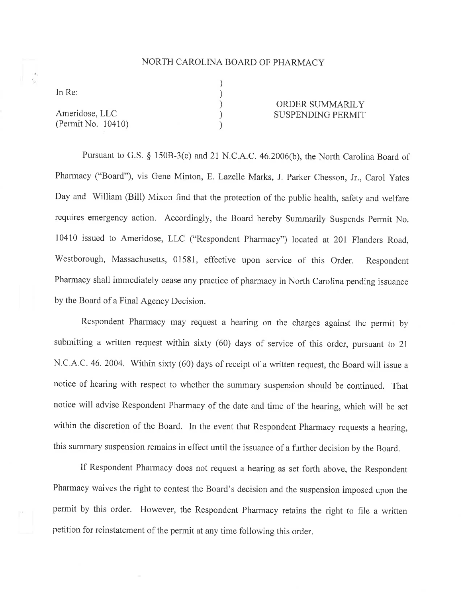## NORTH CAROLINA BOARD OF PHARMACY

) ) ) ) )

In Re:

Ameridose, LLC (Permit No. 10410)

## ORDER SUMMARILY SUSPENDING PERMIT

Pursuant to G.S. § 150B-3(c) and 21 N.C.A.C. 46.2006(b), the North Carolina Board of Pharmacy ("Board"), vis Gene Minton, E. Lazelle Marks, J. Parker Chesson, Jr., Carol yates Day and William (Bill) Mixon find that the protection of the public health, safety and welfare requires emergency action, Accordingly, the Board hereby Summarily Suspends Permit No. 10410 issued to Ameridose, LLC ("Respondent Pharmacy") located at 201 Flanders Road, Westborough, Massachusetts, 01581, effective upon service of this Order. Respondent Pharmacy shall immediately cease any practice of pharmacy in North Carolina pending issuance by the Board of a Final Agency Decision.

Respondent Pharmacy may request a hearing on the charges against the permit by submitting a written request within sixty (60) days of service of this order, pursuant to 2l N.C.A.C. 46. 2004. Within sixty (60) days of receipt of a written request, the Board will issue a notice of hearing with respect to whether the summary suspension should be continued. That notice will advise Respondent Pharmacy of the date and time of the hearing, which will be set within the discretion of the Board. In the event that Respondent Pharmacy requests a hearing, this summary suspension remains in effect until the issuance of a fuither decision by the Board,

If Respondent Pharmacy does not request a hearing as set forth above, the Respondent Pharmacy waives the right to contest the Board's decision and the suspension imposed upon the permit by this order. However, the Respondent Pharmacy retains the right to file a written petition for reinstatement of the permit at any time following this order.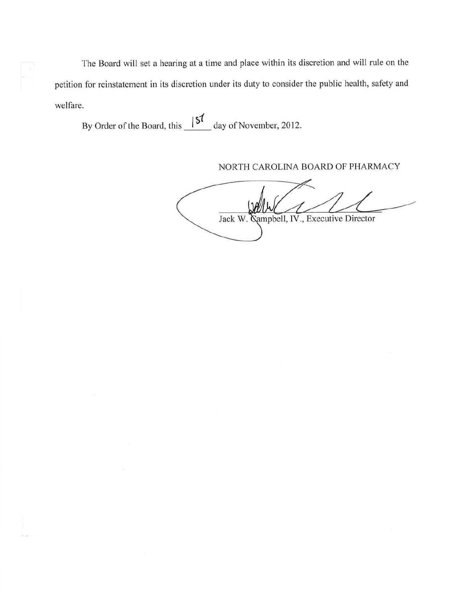The Board will set a hearing at a time and place within its discretion and will rule on the petition for reinstatement in its discretion under its duty to consider the public health, safety and welfare.

By Order of the Board, this  $\frac{157}{100}$  day of November, 2012.

NORTH CAROLINA BOARD OF PHARMACY

**Kampbell**, IV., Executive Director Jack W.